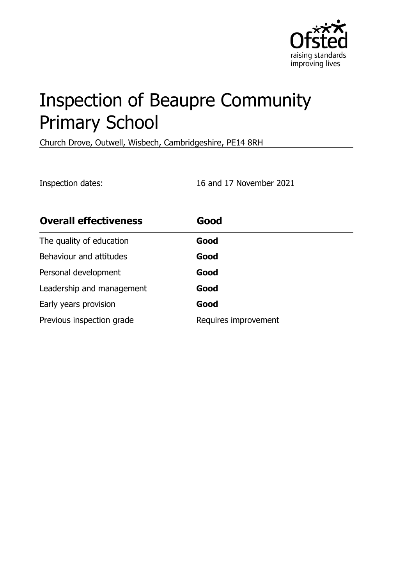

# Inspection of Beaupre Community Primary School

Church Drove, Outwell, Wisbech, Cambridgeshire, PE14 8RH

Inspection dates: 16 and 17 November 2021

| <b>Overall effectiveness</b> | Good                 |
|------------------------------|----------------------|
| The quality of education     | Good                 |
| Behaviour and attitudes      | Good                 |
| Personal development         | Good                 |
| Leadership and management    | Good                 |
| Early years provision        | Good                 |
| Previous inspection grade    | Requires improvement |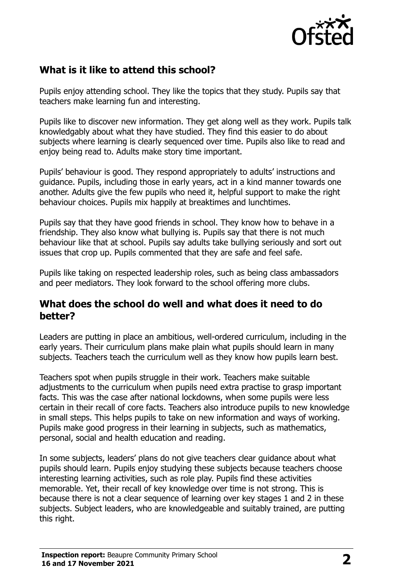

# **What is it like to attend this school?**

Pupils enjoy attending school. They like the topics that they study. Pupils say that teachers make learning fun and interesting.

Pupils like to discover new information. They get along well as they work. Pupils talk knowledgably about what they have studied. They find this easier to do about subjects where learning is clearly sequenced over time. Pupils also like to read and enjoy being read to. Adults make story time important.

Pupils' behaviour is good. They respond appropriately to adults' instructions and guidance. Pupils, including those in early years, act in a kind manner towards one another. Adults give the few pupils who need it, helpful support to make the right behaviour choices. Pupils mix happily at breaktimes and lunchtimes.

Pupils say that they have good friends in school. They know how to behave in a friendship. They also know what bullying is. Pupils say that there is not much behaviour like that at school. Pupils say adults take bullying seriously and sort out issues that crop up. Pupils commented that they are safe and feel safe.

Pupils like taking on respected leadership roles, such as being class ambassadors and peer mediators. They look forward to the school offering more clubs.

#### **What does the school do well and what does it need to do better?**

Leaders are putting in place an ambitious, well-ordered curriculum, including in the early years. Their curriculum plans make plain what pupils should learn in many subjects. Teachers teach the curriculum well as they know how pupils learn best.

Teachers spot when pupils struggle in their work. Teachers make suitable adjustments to the curriculum when pupils need extra practise to grasp important facts. This was the case after national lockdowns, when some pupils were less certain in their recall of core facts. Teachers also introduce pupils to new knowledge in small steps. This helps pupils to take on new information and ways of working. Pupils make good progress in their learning in subjects, such as mathematics, personal, social and health education and reading.

In some subjects, leaders' plans do not give teachers clear guidance about what pupils should learn. Pupils enjoy studying these subjects because teachers choose interesting learning activities, such as role play. Pupils find these activities memorable. Yet, their recall of key knowledge over time is not strong. This is because there is not a clear sequence of learning over key stages 1 and 2 in these subjects. Subject leaders, who are knowledgeable and suitably trained, are putting this right.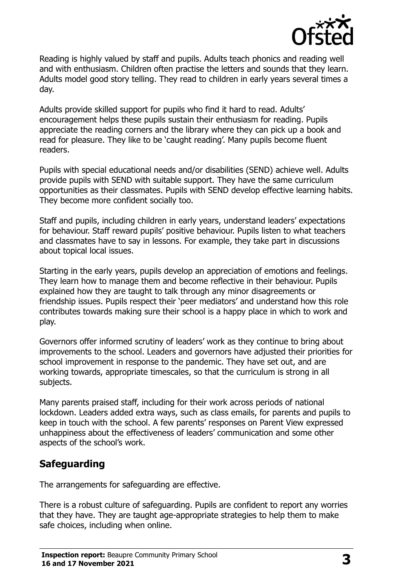

Reading is highly valued by staff and pupils. Adults teach phonics and reading well and with enthusiasm. Children often practise the letters and sounds that they learn. Adults model good story telling. They read to children in early years several times a day.

Adults provide skilled support for pupils who find it hard to read. Adults' encouragement helps these pupils sustain their enthusiasm for reading. Pupils appreciate the reading corners and the library where they can pick up a book and read for pleasure. They like to be 'caught reading'. Many pupils become fluent readers.

Pupils with special educational needs and/or disabilities (SEND) achieve well. Adults provide pupils with SEND with suitable support. They have the same curriculum opportunities as their classmates. Pupils with SEND develop effective learning habits. They become more confident socially too.

Staff and pupils, including children in early years, understand leaders' expectations for behaviour. Staff reward pupils' positive behaviour. Pupils listen to what teachers and classmates have to say in lessons. For example, they take part in discussions about topical local issues.

Starting in the early years, pupils develop an appreciation of emotions and feelings. They learn how to manage them and become reflective in their behaviour. Pupils explained how they are taught to talk through any minor disagreements or friendship issues. Pupils respect their 'peer mediators' and understand how this role contributes towards making sure their school is a happy place in which to work and play.

Governors offer informed scrutiny of leaders' work as they continue to bring about improvements to the school. Leaders and governors have adjusted their priorities for school improvement in response to the pandemic. They have set out, and are working towards, appropriate timescales, so that the curriculum is strong in all subjects.

Many parents praised staff, including for their work across periods of national lockdown. Leaders added extra ways, such as class emails, for parents and pupils to keep in touch with the school. A few parents' responses on Parent View expressed unhappiness about the effectiveness of leaders' communication and some other aspects of the school's work.

## **Safeguarding**

The arrangements for safeguarding are effective.

There is a robust culture of safeguarding. Pupils are confident to report any worries that they have. They are taught age-appropriate strategies to help them to make safe choices, including when online.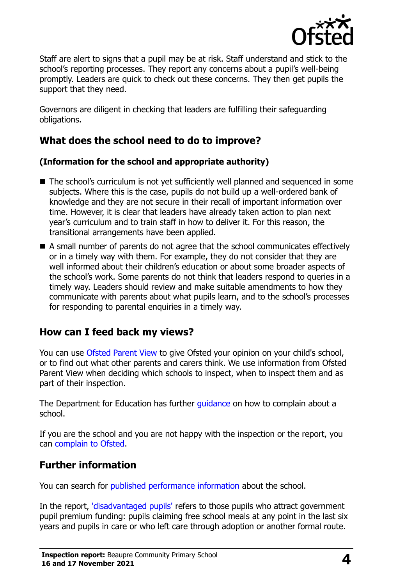

Staff are alert to signs that a pupil may be at risk. Staff understand and stick to the school's reporting processes. They report any concerns about a pupil's well-being promptly. Leaders are quick to check out these concerns. They then get pupils the support that they need.

Governors are diligent in checking that leaders are fulfilling their safeguarding obligations.

# **What does the school need to do to improve?**

#### **(Information for the school and appropriate authority)**

- The school's curriculum is not yet sufficiently well planned and sequenced in some subjects. Where this is the case, pupils do not build up a well-ordered bank of knowledge and they are not secure in their recall of important information over time. However, it is clear that leaders have already taken action to plan next year's curriculum and to train staff in how to deliver it. For this reason, the transitional arrangements have been applied.
- A small number of parents do not agree that the school communicates effectively or in a timely way with them. For example, they do not consider that they are well informed about their children's education or about some broader aspects of the school's work. Some parents do not think that leaders respond to queries in a timely way. Leaders should review and make suitable amendments to how they communicate with parents about what pupils learn, and to the school's processes for responding to parental enquiries in a timely way.

## **How can I feed back my views?**

You can use [Ofsted Parent View](http://parentview.ofsted.gov.uk/) to give Ofsted your opinion on your child's school, or to find out what other parents and carers think. We use information from Ofsted Parent View when deciding which schools to inspect, when to inspect them and as part of their inspection.

The Department for Education has further quidance on how to complain about a school.

If you are the school and you are not happy with the inspection or the report, you can [complain to Ofsted.](http://www.gov.uk/complain-ofsted-report)

## **Further information**

You can search for [published performance information](http://www.compare-school-performance.service.gov.uk/) about the school.

In the report, ['disadvantaged pupils'](http://www.gov.uk/guidance/pupil-premium-information-for-schools-and-alternative-provision-settings) refers to those pupils who attract government pupil premium funding: pupils claiming free school meals at any point in the last six years and pupils in care or who left care through adoption or another formal route.

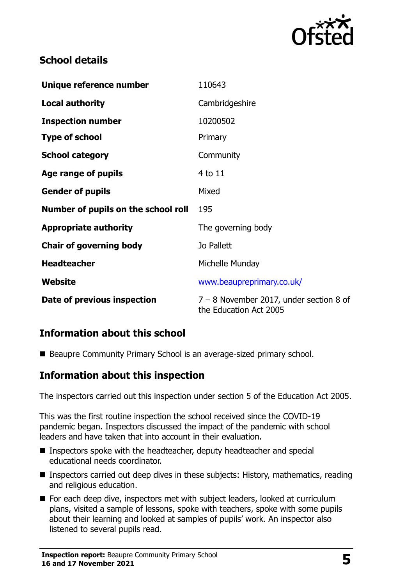

## **School details**

| Unique reference number             | 110643                                                              |
|-------------------------------------|---------------------------------------------------------------------|
| <b>Local authority</b>              | Cambridgeshire                                                      |
| <b>Inspection number</b>            | 10200502                                                            |
| <b>Type of school</b>               | Primary                                                             |
| <b>School category</b>              | Community                                                           |
| Age range of pupils                 | 4 to 11                                                             |
| <b>Gender of pupils</b>             | Mixed                                                               |
| Number of pupils on the school roll | 195                                                                 |
| <b>Appropriate authority</b>        | The governing body                                                  |
| <b>Chair of governing body</b>      | Jo Pallett                                                          |
| <b>Headteacher</b>                  | Michelle Munday                                                     |
| Website                             | www.beaupreprimary.co.uk/                                           |
| Date of previous inspection         | $7 - 8$ November 2017, under section 8 of<br>the Education Act 2005 |

## **Information about this school**

Beaupre Community Primary School is an average-sized primary school.

#### **Information about this inspection**

The inspectors carried out this inspection under section 5 of the Education Act 2005.

This was the first routine inspection the school received since the COVID-19 pandemic began. Inspectors discussed the impact of the pandemic with school leaders and have taken that into account in their evaluation.

- Inspectors spoke with the headteacher, deputy headteacher and special educational needs coordinator.
- **Inspectors carried out deep dives in these subjects: History, mathematics, reading** and religious education.
- For each deep dive, inspectors met with subject leaders, looked at curriculum plans, visited a sample of lessons, spoke with teachers, spoke with some pupils about their learning and looked at samples of pupils' work. An inspector also listened to several pupils read.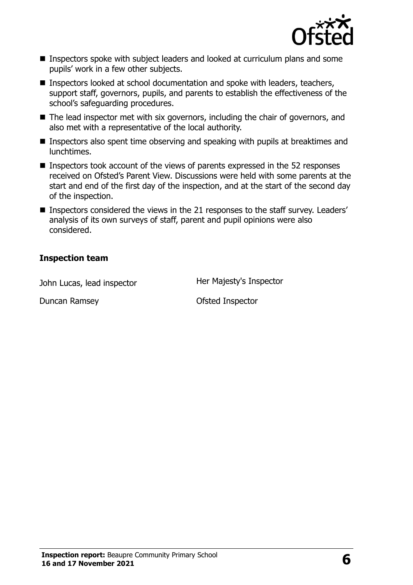

- **Inspectors spoke with subject leaders and looked at curriculum plans and some** pupils' work in a few other subjects.
- Inspectors looked at school documentation and spoke with leaders, teachers, support staff, governors, pupils, and parents to establish the effectiveness of the school's safeguarding procedures.
- $\blacksquare$  The lead inspector met with six governors, including the chair of governors, and also met with a representative of the local authority.
- **Inspectors also spent time observing and speaking with pupils at breaktimes and** lunchtimes.
- Inspectors took account of the views of parents expressed in the 52 responses received on Ofsted's Parent View. Discussions were held with some parents at the start and end of the first day of the inspection, and at the start of the second day of the inspection.
- Inspectors considered the views in the 21 responses to the staff survey. Leaders' analysis of its own surveys of staff, parent and pupil opinions were also considered.

#### **Inspection team**

John Lucas, lead inspector **Her Majesty's Inspector** 

Duncan Ramsey **Duncan Ramsey Ofsted Inspector**